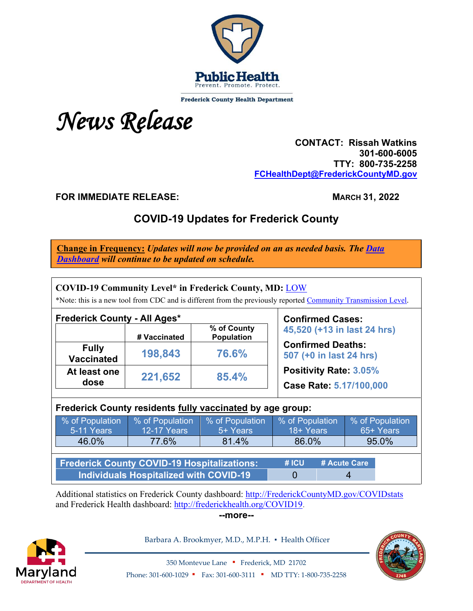

**Frederick County Health Department** 



 **CONTACT: Rissah Watkins 301-600-6005 TTY: 800-735-2258 [FCHealthDept@FrederickCountyMD.gov](mailto:FCHealthDept@FrederickCountyMD.gov)**

**FOR IMMEDIATE RELEASE:** MARCH 31, 2022

# **COVID-19 Updates for Frederick County**

**Change in Frequency:** *Updates will now be provided on an as needed basis. The [Data](http://frederickcountymd.gov/COVIDstats)  [Dashboard](http://frederickcountymd.gov/COVIDstats) will continue to be updated on schedule.*

| <b>COVID-19 Community Level* in Frederick County, MD: LOW</b><br>*Note: this is a new tool from CDC and is different from the previously reported Community Transmission Level. |                                       |                                  |                                                        |  |                              |  |  |
|---------------------------------------------------------------------------------------------------------------------------------------------------------------------------------|---------------------------------------|----------------------------------|--------------------------------------------------------|--|------------------------------|--|--|
| <b>Frederick County - All Ages*</b>                                                                                                                                             | # Vaccinated                          | % of County<br><b>Population</b> | <b>Confirmed Cases:</b><br>45,520 (+13 in last 24 hrs) |  |                              |  |  |
| <b>Fully</b><br><b>Vaccinated</b>                                                                                                                                               | 198,843                               | 76.6%                            | <b>Confirmed Deaths:</b><br>507 (+0 in last 24 hrs)    |  |                              |  |  |
| At least one<br>dose                                                                                                                                                            | 221,652                               | 85.4%                            | Positivity Rate: 3.05%<br>Case Rate: 5.17/100,000      |  |                              |  |  |
| Frederick County residents fully vaccinated by age group:                                                                                                                       |                                       |                                  |                                                        |  |                              |  |  |
| % of Population<br>5-11 Years                                                                                                                                                   | % of Population<br><b>12-17 Years</b> | % of Population<br>5+ Years      | % of Population<br>18+ Years                           |  | % of Population<br>65+ Years |  |  |
| 46.0%                                                                                                                                                                           | 77.6%                                 | 81.4%                            | 86.0%                                                  |  | 95.0%                        |  |  |
| <b>Frederick County COVID-19 Hospitalizations:</b>                                                                                                                              | #ICU                                  |                                  | # Acute Care                                           |  |                              |  |  |
| <b>Individuals Hospitalized with COVID-19</b>                                                                                                                                   | 0                                     |                                  | 4                                                      |  |                              |  |  |

Additional statistics on Frederick County dashboard: [http://FrederickCountyMD.gov/COVIDstats](http://frederickcountymd.gov/COVIDstats) and Frederick Health dashboard: [http://frederickhealth.org/COVID19.](http://frederickhealth.org/COVID19)

**--more--**



Barbara A. Brookmyer, M.D., M.P.H. · Health Officer



350 Montevue Lane ▪ Frederick, MD 21702 Phone: 301-600-1029 • Fax: 301-600-3111 • MD TTY: 1-800-735-2258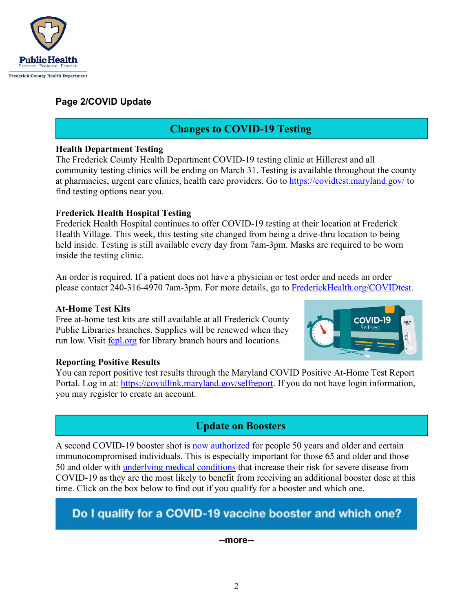

## **Page 2/COVID Update**

## **Changes to COVID-19 Testing**

#### **Health Department Testing**

The Frederick County Health Department COVID-19 testing clinic at Hillcrest and all community testing clinics will be ending on March 31. Testing is available throughout the county at pharmacies, urgent care clinics, health care providers. Go to<https://covidtest.maryland.gov/>to find testing options near you.

### **Frederick Health Hospital Testing**

Frederick Health Hospital continues to offer COVID-19 testing at their location at Frederick Health Village. This week, this testing site changed from being a drive-thru location to being held inside. Testing is still available every day from 7am-3pm. Masks are required to be worn inside the testing clinic.

An order is required. If a patient does not have a physician or test order and needs an order please contact 240-316-4970 7am-3pm. For more details, go to [FrederickHealth.org/COVIDtest.](https://frederickhealth.org/COVIDtest)

### **At-Home Test Kits**

Free at-home test kits are still available at all Frederick County Public Libraries branches. Supplies will be renewed when they run low. Visit [fcpl.org](https://www.fcpl.org/) for library branch hours and locations.

# **COVID-19**

### **Reporting Positive Results**

You can report positive test results through the Maryland COVID Positive At-Home Test Report Portal. Log in at: [https://covidlink.maryland.gov/selfreport.](https://covidlink.maryland.gov/selfreport) If you do not have login information, you may register to create an account.

## **Update on Boosters**

A second COVID-19 booster shot is [now authorized](https://www.fda.gov/news-events/press-announcements/coronavirus-covid-19-update-fda-authorizes-second-booster-dose-two-covid-19-vaccines-older-and) for people 50 years and older and certain immunocompromised individuals. This is especially important for those 65 and older and those 50 and older with [underlying medical conditions](https://www.cdc.gov/coronavirus/2019-ncov/need-extra-precautions/people-with-medical-conditions.html) that increase their risk for severe disease from COVID-19 as they are the most likely to benefit from receiving an additional booster dose at this time. Click on the box below to find out if you qualify for a booster and which one.

# Do I qualify for a COVID-19 vaccine booster and which one?

#### **--more--**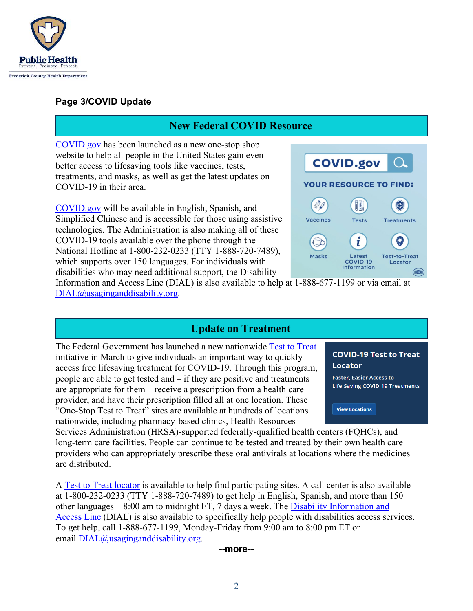

## **Page 3/COVID Update**

## **New Federal COVID Resource**

[COVID.gov](https://www.covid.gov/) has been launched as a new one-stop shop website to help all people in the United States gain even better access to lifesaving tools like vaccines, tests, treatments, and masks, as well as get the latest updates on COVID-19 in their area.

[COVID.gov](https://www.covid.gov/) will be available in English, Spanish, and Simplified Chinese and is accessible for those using assistive technologies. The Administration is also making all of these COVID-19 tools available over the phone through the National Hotline at 1-800-232-0233 (TTY 1-888-720-7489), which supports over 150 languages. For individuals with disabilities who may need additional support, the Disability



Information and Access Line (DIAL) is also available to help at 1-888-677-1199 or via email at [DIAL@usaginganddisability.org.](mailto:DIAL@usaginganddisability.org)

## **Update on Treatment**

The Federal Government has launched a new nationwide [Test to Treat](https://aspr.hhs.gov/TestToTreat/Pages/default.aspx) initiative in March to give individuals an important way to quickly access free lifesaving treatment for COVID-19. Through this program, people are able to get tested and – if they are positive and treatments are appropriate for them – receive a prescription from a health care provider, and have their prescription filled all at one location. These "One-Stop Test to Treat" sites are available at hundreds of locations nationwide, including pharmacy-based clinics, Health Resources

**COVID-19 Test to Treat Locator** 

**Faster, Easier Access to Life-Saving COVID-19 Treatments** 

**View Locations** 

Services Administration (HRSA)-supported federally-qualified health centers (FQHCs), and long-term care facilities. People can continue to be tested and treated by their own health care providers who can appropriately prescribe these oral antivirals at locations where the medicines are distributed.

A [Test to Treat locator](https://covid-19-test-to-treat-locator-dhhs.hub.arcgis.com/) is available to help find participating sites. A call center is also available at 1-800-232-0233 (TTY 1-888-720-7489) to get help in English, Spanish, and more than 150 other languages – 8:00 am to midnight ET, 7 days a week. The [Disability Information and](https://acl.gov/DIAL)  [Access Line](https://acl.gov/DIAL) (DIAL) is also available to specifically help people with disabilities access services. To get help, call 1-888-677-1199, Monday-Friday from 9:00 am to 8:00 pm ET or email [DIAL@usaginganddisability.org.](mailto:DIAL@usaginganddisability.org)

**--more--**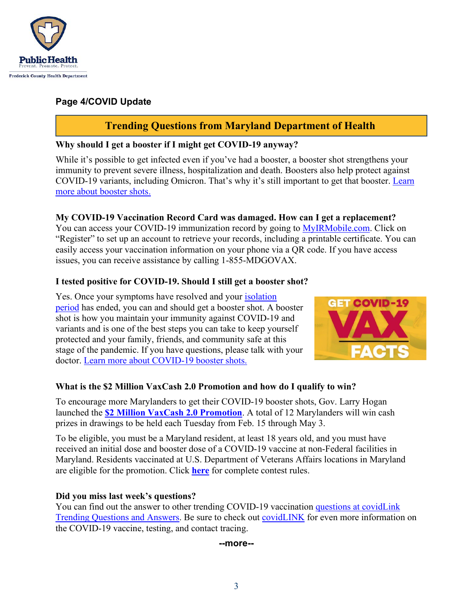

## **Page 4/COVID Update**

## **Trending Questions from Maryland Department of Health**

### **Why should I get a booster if I might get COVID-19 anyway?**

While it's possible to get infected even if you've had a booster, a booster shot strengthens your immunity to prevent severe illness, hospitalization and death. Boosters also help protect against COVID-19 variants, including Omicron. That's why it's still important to get that booster. [Learn](https://covidlink.maryland.gov/content/vaccine/booster-shots/)  [more about booster shots.](https://covidlink.maryland.gov/content/vaccine/booster-shots/)

## **My COVID-19 Vaccination Record Card was damaged. How can I get a replacement?**

You can access your COVID-19 immunization record by going to [MyIRMobile.com.](https://app.myirmobile.com/auth/sign-in) Click on "Register" to set up an account to retrieve your records, including a printable certificate. You can easily access your vaccination information on your phone via a QR code. If you have access issues, you can receive assistance by calling 1-855-MDGOVAX.

## **I tested positive for COVID-19. Should I still get a booster shot?**

Yes. Once your symptoms have resolved and your *isolation* [period](https://covidlink.maryland.gov/content/testing/if-you-test-positive/#info) has ended, you can and should get a booster shot. A booster shot is how you maintain your immunity against COVID-19 and variants and is one of the best steps you can take to keep yourself protected and your family, friends, and community safe at this stage of the pandemic. If you have questions, please talk with your doctor. [Learn more about COVID-19 booster shots.](https://covidlink.maryland.gov/content/vaccine/booster-shots/)



## **What is the \$2 Million VaxCash 2.0 Promotion and how do I qualify to win?**

To encourage more Marylanders to get their COVID-19 booster shots, Gov. Larry Hogan launched the **[\\$2 Million VaxCash 2.0 Promotion](https://governor.maryland.gov/2022/02/08/governor-hogan-announces-new-booster-action-plan-2-million-vaxcash-2-0-promotion-for-boosted-marylanders/)**. A total of 12 Marylanders will win cash prizes in drawings to be held each Tuesday from Feb. 15 through May 3.

To be eligible, you must be a Maryland resident, at least 18 years old, and you must have received an initial dose and booster dose of a COVID-19 vaccine at non-Federal facilities in Maryland. Residents vaccinated at U.S. Department of Veterans Affairs locations in Maryland are eligible for the promotion. Click **[here](https://www.mdlottery.com/wp-content/uploads/2022/02/2-Million-VaxCash-2.0-Promotion-Drawing-Rules.pdf)** for complete contest rules.

### **Did you miss last week's questions?**

You can find out the answer to other trending COVID-19 vaccination [questions at covidLink](https://covidlink.maryland.gov/content/faqs/#trending)  [Trending Questions and Answers.](https://covidlink.maryland.gov/content/faqs/#trending) Be sure to check out [covidLINK](https://covidlink.maryland.gov/content/) for even more information on the COVID-19 vaccine, testing, and contact tracing.

**--more--**